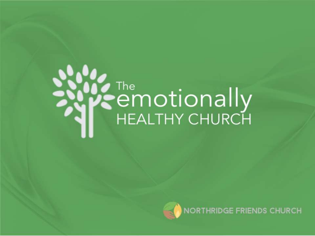# **SEMOTIONALLY**



NORTHRIDGE FRIENDS CHURCH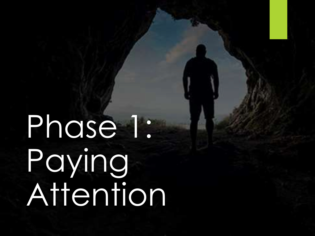### Phase 1: Paying Attention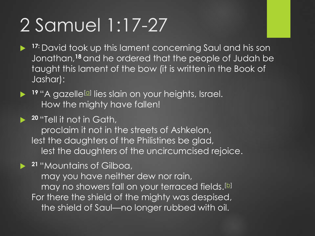#### 2 Samuel 1:17-27

- **17:** David took up this lament concerning Saul and his son Jonathan,**<sup>18</sup>** and he ordered that the people of Judah be taught this lament of the bow (it is written in the Book of Jashar):
- **19** "A g[a](https://www.biblegateway.com/passage/?search=2+Samuel+1:17-27&version=NIV#fen-NIV-8042a)zelle<sup>[a]</sup> lies slain on your heights, Israel. How the mighty have fallen!
- **<sup>20</sup>** "Tell it not in Gath, proclaim it not in the streets of Ashkelon, lest the daughters of the Philistines be glad, lest the daughters of the uncircumcised rejoice.

 **<sup>21</sup>** "Mountains of Gilboa, may you have neither dew nor rain, may no showers fall on your terraced fields.<sup>[\[b](https://www.biblegateway.com/passage/?search=2+Samuel+1:17-27&version=NIV#fen-NIV-8044b)]</sup> For there the shield of the mighty was despised, the shield of Saul—no longer rubbed with oil.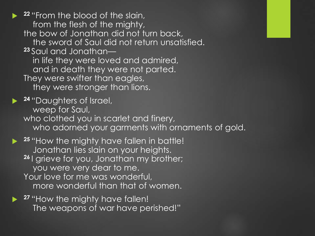**22** "From the blood of the slain, from the flesh of the mighty, the bow of Jonathan did not turn back, the sword of Saul did not return unsatisfied. **<sup>23</sup>** Saul and Jonathan in life they were loved and admired, and in death they were not parted. They were swifter than eagles, they were stronger than lions. **<sup>24</sup>** "Daughters of Israel, weep for Saul, who clothed you in scarlet and finery, who adorned your garments with ornaments of gold. **► <sup>25</sup> "How the mighty have fallen in battle!** Jonathan lies slain on your heights. **<sup>26</sup>** I grieve for you, Jonathan my brother; you were very dear to me. Your love for me was wonderful, more wonderful than that of women.

**► <sup>27</sup> "How the mighty have fallen!** The weapons of war have perished!"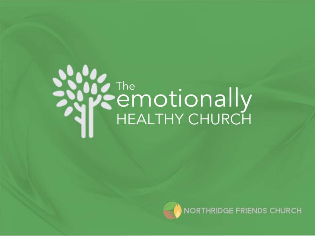# **SEMOTIONALLY**



NORTHRIDGE FRIENDS CHURCH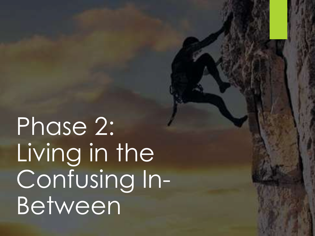Phase 2: Living in the Confusing In-Between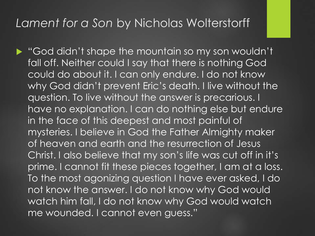#### *Lament for a Son* by Nicholas Wolterstorff

God didn't shape the mountain so my son wouldn't fall off. Neither could I say that there is nothing God could do about it. I can only endure. I do not know why God didn't prevent Eric's death. I live without the question. To live without the answer is precarious. I have no explanation. I can do nothing else but endure in the face of this deepest and most painful of mysteries. I believe in God the Father Almighty maker of heaven and earth and the resurrection of Jesus Christ. I also believe that my son's life was cut off in it's prime. I cannot fit these pieces together, I am at a loss. To the most agonizing question I have ever asked, I do not know the answer. I do not know why God would watch him fall, I do not know why God would watch me wounded. I cannot even guess."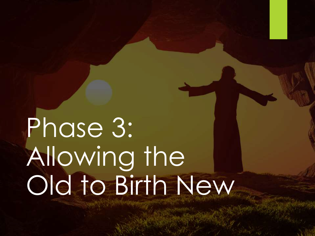#### Phase 3: Allowing the Old to Birth New